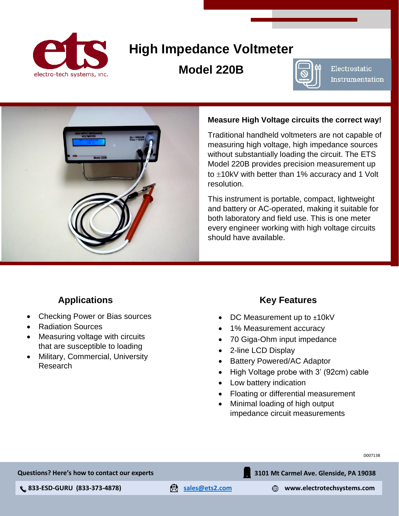

# **High Impedance Voltmeter**

## **Model 220B**



Electrostatic Instrumentation



#### **Measure High Voltage circuits the correct way!**

Traditional handheld voltmeters are not capable of measuring high voltage, high impedance sources without substantially loading the circuit. The ETS Model 220B provides precision measurement up to  $\pm$ 10kV with better than 1% accuracy and 1 Volt resolution.

This instrument is portable, compact, lightweight and battery or AC-operated, making it suitable for both laboratory and field use. This is one meter every engineer working with high voltage circuits should have available.

### **Applications**

- Checking Power or Bias sources
- Radiation Sources
- Measuring voltage with circuits that are susceptible to loading
- Military, Commercial, University Research

### **Key Features**

- DC Measurement up to ±10kV
- 1% Measurement accuracy
- 70 Giga-Ohm input impedance
- 2-line LCD Display
- Battery Powered/AC Adaptor
- High Voltage probe with 3' (92cm) cable
- Low battery indication
- Floating or differential measurement
- Minimal loading of high output impedance circuit measurements

D00713B

**Questions? Here's how to contact our experts**

 **833-ESD-GURU (833-373-4878) [sales@ets2.com](mailto:sales@ets2.com) www.electrotechsystems.com**

**3101 Mt Carmel Ave. Glenside, PA 19038**